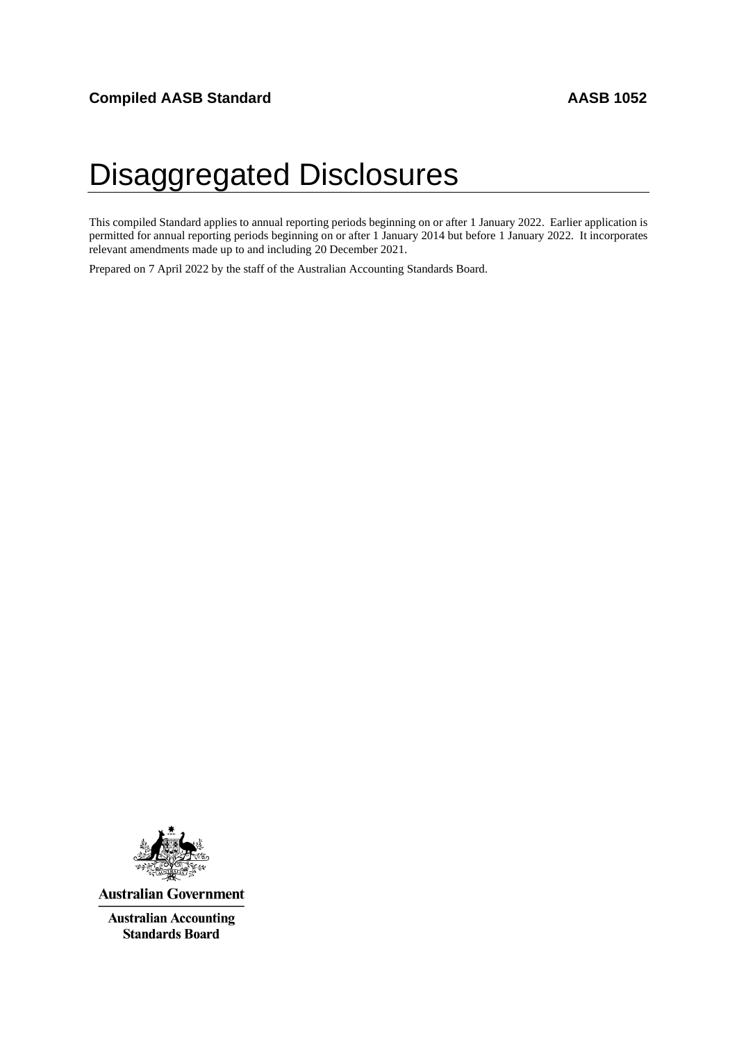# <span id="page-0-0"></span>Disaggregated Disclosures

This compiled Standard applies to annual reporting periods beginning on or after 1 January 2022. Earlier application is permitted for annual reporting periods beginning on or after 1 January 2014 but before 1 January 2022. It incorporates relevant amendments made up to and including 20 December 2021.

Prepared on 7 April 2022 by the staff of the Australian Accounting Standards Board.



**Australian Government** 

**Australian Accounting Standards Board**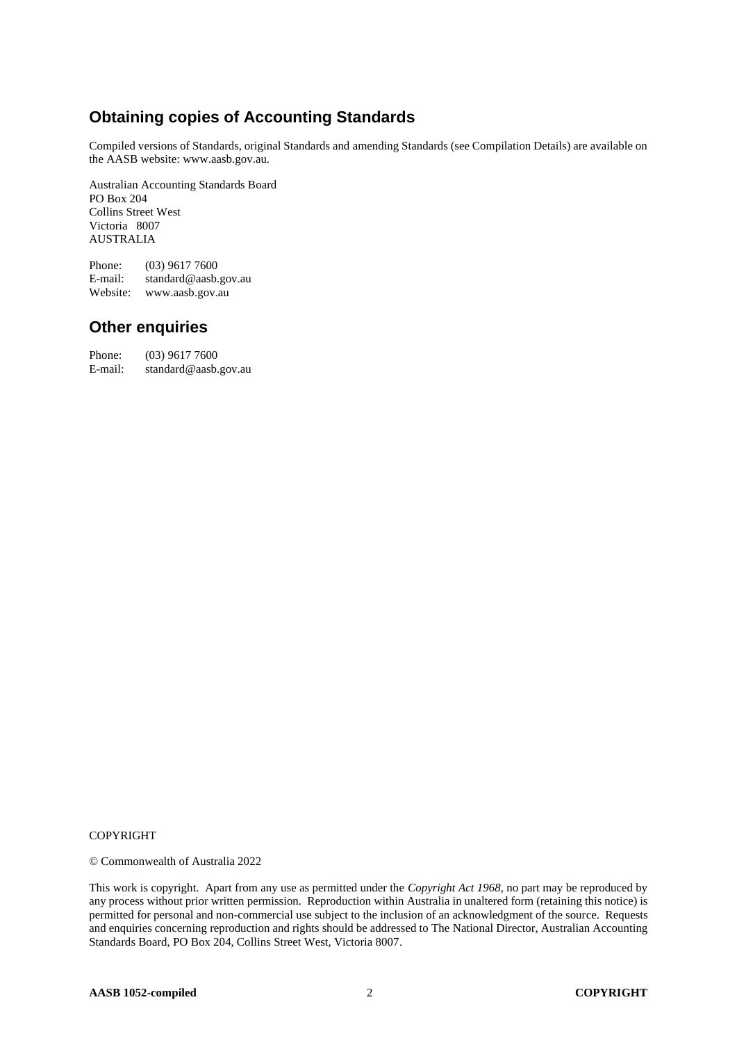# **Obtaining copies of Accounting Standards**

Compiled versions of Standards, original Standards and amending Standards (see Compilation Details) are available on the AASB website: www.aasb.gov.au.

Australian Accounting Standards Board PO Box 204 Collins Street West Victoria 8007 AUSTRALIA

Phone: (03) 9617 7600<br>E-mail: standard@aasb. standard@aasb.gov.au Website: www.aasb.gov.au

### **Other enquiries**

Phone: (03) 9617 7600<br>E-mail: standard@aasb. standard@aasb.gov.au

#### COPYRIGHT

© Commonwealth of Australia 2022

This work is copyright. Apart from any use as permitted under the *Copyright Act 1968*, no part may be reproduced by any process without prior written permission. Reproduction within Australia in unaltered form (retaining this notice) is permitted for personal and non-commercial use subject to the inclusion of an acknowledgment of the source. Requests and enquiries concerning reproduction and rights should be addressed to The National Director, Australian Accounting Standards Board, PO Box 204, Collins Street West, Victoria 8007.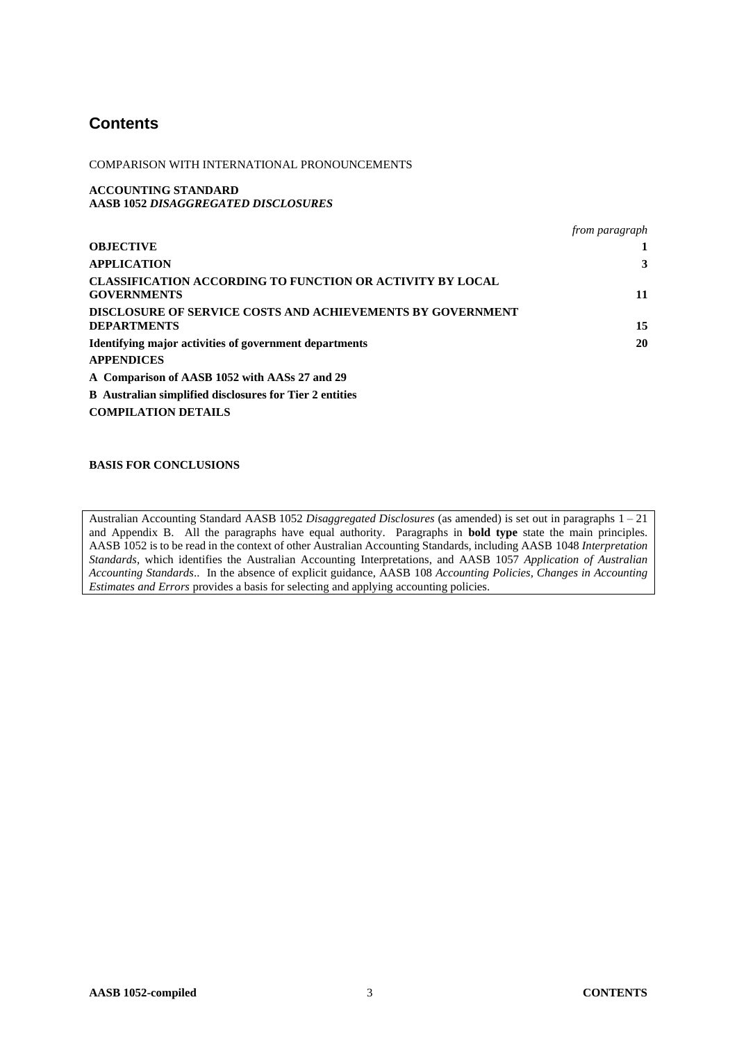# **Contents**

COMPARISON WITH INTERNATIONAL PRONOUNCEMENTS

**ACCOUNTING STANDARD AASB 1052** *DISAGGREGATED DISCLOSURES*

|                                                                                         | from paragraph |
|-----------------------------------------------------------------------------------------|----------------|
| <b>OBJECTIVE</b>                                                                        |                |
| <b>APPLICATION</b>                                                                      | 3              |
| <b>CLASSIFICATION ACCORDING TO FUNCTION OR ACTIVITY BY LOCAL</b><br><b>GOVERNMENTS</b>  | 11             |
| <b>DISCLOSURE OF SERVICE COSTS AND ACHIEVEMENTS BY GOVERNMENT</b><br><b>DEPARTMENTS</b> | 15             |
| Identifying major activities of government departments                                  | 20             |
| <b>APPENDICES</b>                                                                       |                |
| A Comparison of AASB 1052 with AASs 27 and 29                                           |                |
| <b>B</b> Australian simplified disclosures for Tier 2 entities                          |                |
| <b>COMPILATION DETAILS</b>                                                              |                |

#### **BASIS FOR CONCLUSIONS**

Australian Accounting Standard AASB 1052 *Disaggregated Disclosures* (as amended) is set out in paragraphs 1 – 21 and Appendix B. All the paragraphs have equal authority. Paragraphs in **bold type** state the main principles. AASB 1052 is to be read in the context of other Australian Accounting Standards, including AASB 1048 *Interpretation Standards*, which identifies the Australian Accounting Interpretations, and AASB 1057 *Application of Australian Accounting Standards*.. In the absence of explicit guidance, AASB 108 *Accounting Policies, Changes in Accounting Estimates and Errors provides a basis for selecting and applying accounting policies.*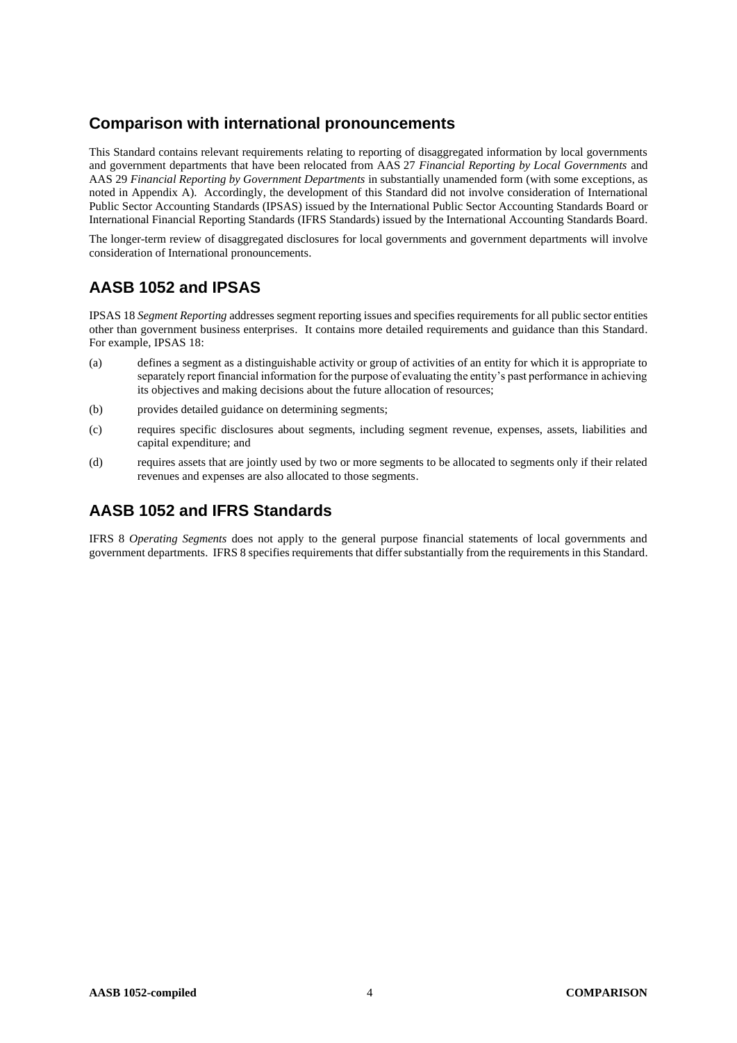## **Comparison with international pronouncements**

This Standard contains relevant requirements relating to reporting of disaggregated information by local governments and government departments that have been relocated from AAS 27 *Financial Reporting by Local Governments* and AAS 29 *Financial Reporting by Government Departments* in substantially unamended form (with some exceptions, as noted in Appendix A). Accordingly, the development of this Standard did not involve consideration of International Public Sector Accounting Standards (IPSAS) issued by the International Public Sector Accounting Standards Board or International Financial Reporting Standards (IFRS Standards) issued by the International Accounting Standards Board.

The longer-term review of disaggregated disclosures for local governments and government departments will involve consideration of International pronouncements.

# **AASB 1052 and IPSAS**

IPSAS 18 *Segment Reporting* addresses segment reporting issues and specifies requirements for all public sector entities other than government business enterprises. It contains more detailed requirements and guidance than this Standard. For example, IPSAS 18:

- (a) defines a segment as a distinguishable activity or group of activities of an entity for which it is appropriate to separately report financial information for the purpose of evaluating the entity's past performance in achieving its objectives and making decisions about the future allocation of resources;
- (b) provides detailed guidance on determining segments;
- (c) requires specific disclosures about segments, including segment revenue, expenses, assets, liabilities and capital expenditure; and
- (d) requires assets that are jointly used by two or more segments to be allocated to segments only if their related revenues and expenses are also allocated to those segments.

# **AASB 1052 and IFRS Standards**

IFRS 8 *Operating Segments* does not apply to the general purpose financial statements of local governments and government departments. IFRS 8 specifies requirements that differ substantially from the requirements in this Standard.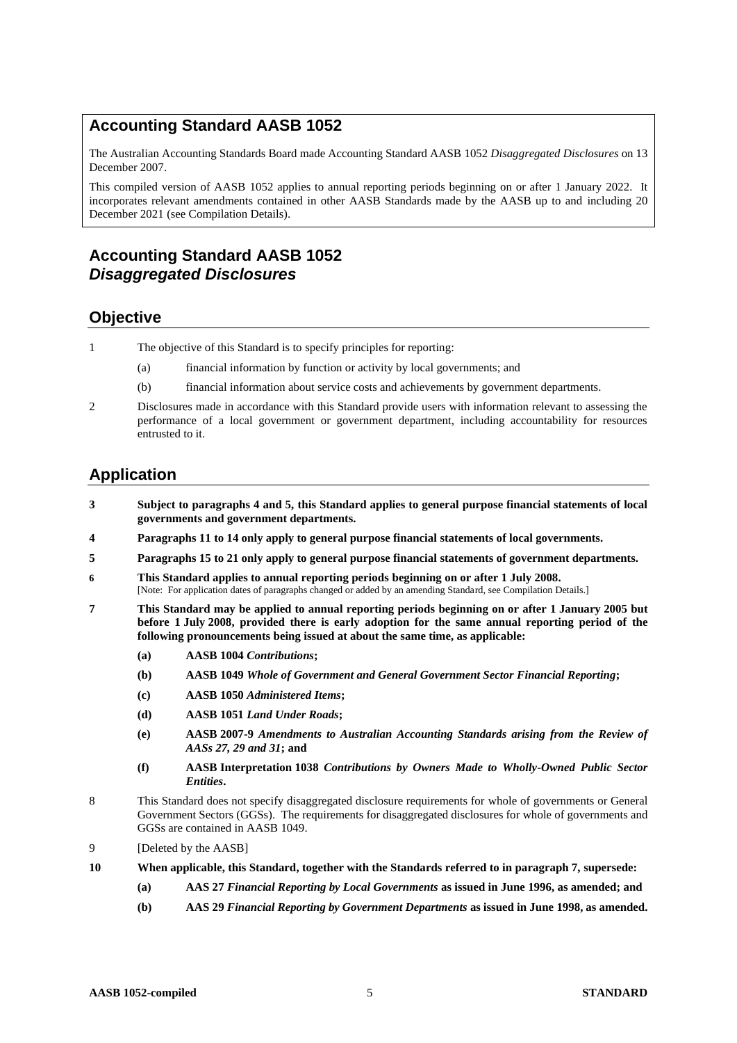### **Accounting Standard AASB 1052**

The Australian Accounting Standards Board made Accounting Standard AASB [1052](#page-0-0) *Disaggregated Disclosures* on 13 December 2007.

This compiled version of AASB 1052 applies to annual reporting periods beginning on or after 1 January 2022. It incorporates relevant amendments contained in other AASB Standards made by the AASB up to and including 20 December 2021 (see Compilation Details).

# **Accounting Standard AASB 1052** *Disaggregated Disclosures*

### **Objective**

- 1 The objective of this Standard is to specify principles for reporting:
	- (a) financial information by function or activity by local governments; and
	- (b) financial information about service costs and achievements by government departments.
- 2 Disclosures made in accordance with this Standard provide users with information relevant to assessing the performance of a local government or government department, including accountability for resources entrusted to it.

### **Application**

- **3 Subject to paragraphs 4 and 5, this Standard applies to general purpose financial statements of local governments and government departments.**
- **4 Paragraphs 11 to 14 only apply to general purpose financial statements of local governments.**
- **5 Paragraphs 15 to 21 only apply to general purpose financial statements of government departments.**
- **6 This Standard applies to annual reporting periods beginning on or after 1 July 2008.** [Note: For application dates of paragraphs changed or added by an amending Standard, see Compilation Details.]
- **7 This Standard may be applied to annual reporting periods beginning on or after 1 January 2005 but before 1 July 2008, provided there is early adoption for the same annual reporting period of the following pronouncements being issued at about the same time, as applicable:**
	- **(a) AASB 1004** *Contributions***;**
	- **(b) AASB 1049** *Whole of Government and General Government Sector Financial Reporting***;**
	- **(c) AASB 1050** *Administered Items***;**
	- **(d) AASB 1051** *Land Under Roads***;**
	- **(e) AASB 2007-9** *Amendments to Australian Accounting Standards arising from the Review of AASs 27, 29 and 31***; and**
	- **(f) AASB Interpretation 1038** *Contributions by Owners Made to Wholly-Owned Public Sector Entities***.**
- 8 This Standard does not specify disaggregated disclosure requirements for whole of governments or General Government Sectors (GGSs). The requirements for disaggregated disclosures for whole of governments and GGSs are contained in AASB 1049.
- 9 [Deleted by the AASB]
- **10 When applicable, this Standard, together with the Standards referred to in paragraph 7, supersede:**
	- **(a) AAS 27** *Financial Reporting by Local Governments* **as issued in June 1996, as amended; and**
	- **(b) AAS 29** *Financial Reporting by Government Departments* **as issued in June 1998, as amended.**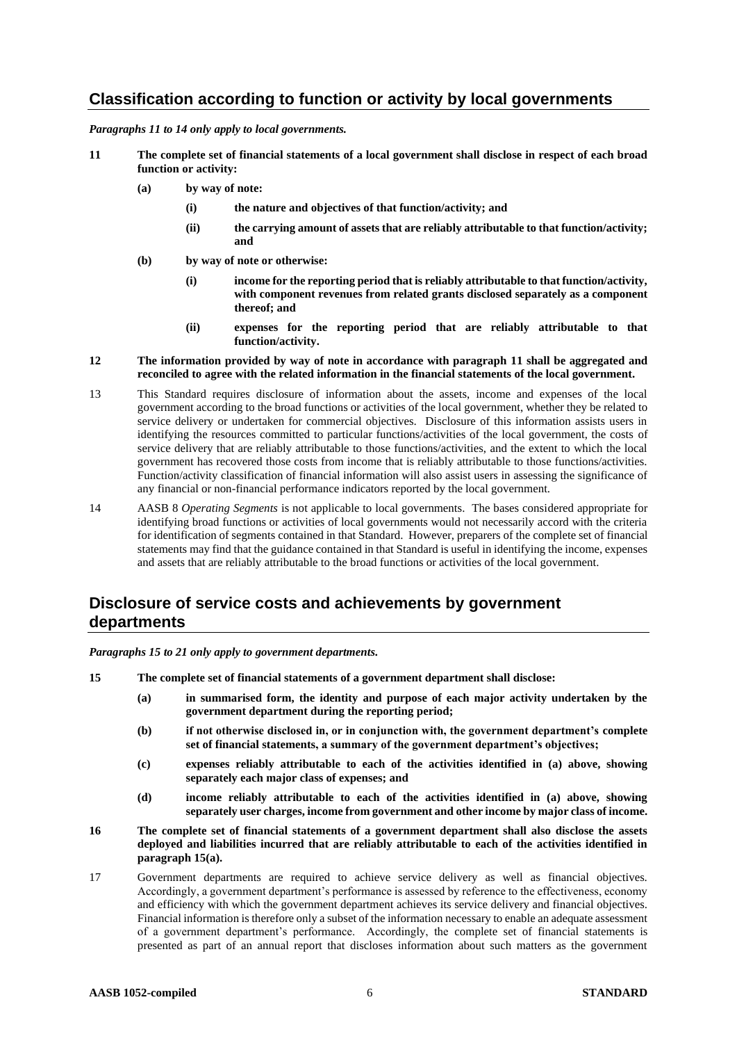### **Classification according to function or activity by local governments**

*Paragraphs 11 to 14 only apply to local governments.*

- **11 The complete set of financial statements of a local government shall disclose in respect of each broad function or activity:**
	- **(a) by way of note:**
		- **(i) the nature and objectives of that function/activity; and**
		- **(ii) the carrying amount of assets that are reliably attributable to that function/activity; and**
	- **(b) by way of note or otherwise:**
		- **(i) income for the reporting period that is reliably attributable to that function/activity, with component revenues from related grants disclosed separately as a component thereof; and**
		- **(ii) expenses for the reporting period that are reliably attributable to that function/activity.**

#### **12 The information provided by way of note in accordance with paragraph 11 shall be aggregated and reconciled to agree with the related information in the financial statements of the local government.**

- 13 This Standard requires disclosure of information about the assets, income and expenses of the local government according to the broad functions or activities of the local government, whether they be related to service delivery or undertaken for commercial objectives. Disclosure of this information assists users in identifying the resources committed to particular functions/activities of the local government, the costs of service delivery that are reliably attributable to those functions/activities, and the extent to which the local government has recovered those costs from income that is reliably attributable to those functions/activities. Function/activity classification of financial information will also assist users in assessing the significance of any financial or non-financial performance indicators reported by the local government.
- 14 AASB 8 *Operating Segments* is not applicable to local governments. The bases considered appropriate for identifying broad functions or activities of local governments would not necessarily accord with the criteria for identification of segments contained in that Standard. However, preparers of the complete set of financial statements may find that the guidance contained in that Standard is useful in identifying the income, expenses and assets that are reliably attributable to the broad functions or activities of the local government.

### **Disclosure of service costs and achievements by government departments**

*Paragraphs 15 to 21 only apply to government departments.*

- **15 The complete set of financial statements of a government department shall disclose:**
	- **(a) in summarised form, the identity and purpose of each major activity undertaken by the government department during the reporting period;**
	- **(b) if not otherwise disclosed in, or in conjunction with, the government department's complete set of financial statements, a summary of the government department's objectives;**
	- **(c) expenses reliably attributable to each of the activities identified in (a) above, showing separately each major class of expenses; and**
	- **(d) income reliably attributable to each of the activities identified in (a) above, showing separately user charges, income from government and other income by major class of income.**
- **16 The complete set of financial statements of a government department shall also disclose the assets deployed and liabilities incurred that are reliably attributable to each of the activities identified in paragraph 15(a).**
- 17 Government departments are required to achieve service delivery as well as financial objectives. Accordingly, a government department's performance is assessed by reference to the effectiveness, economy and efficiency with which the government department achieves its service delivery and financial objectives. Financial information is therefore only a subset of the information necessary to enable an adequate assessment of a government department's performance. Accordingly, the complete set of financial statements is presented as part of an annual report that discloses information about such matters as the government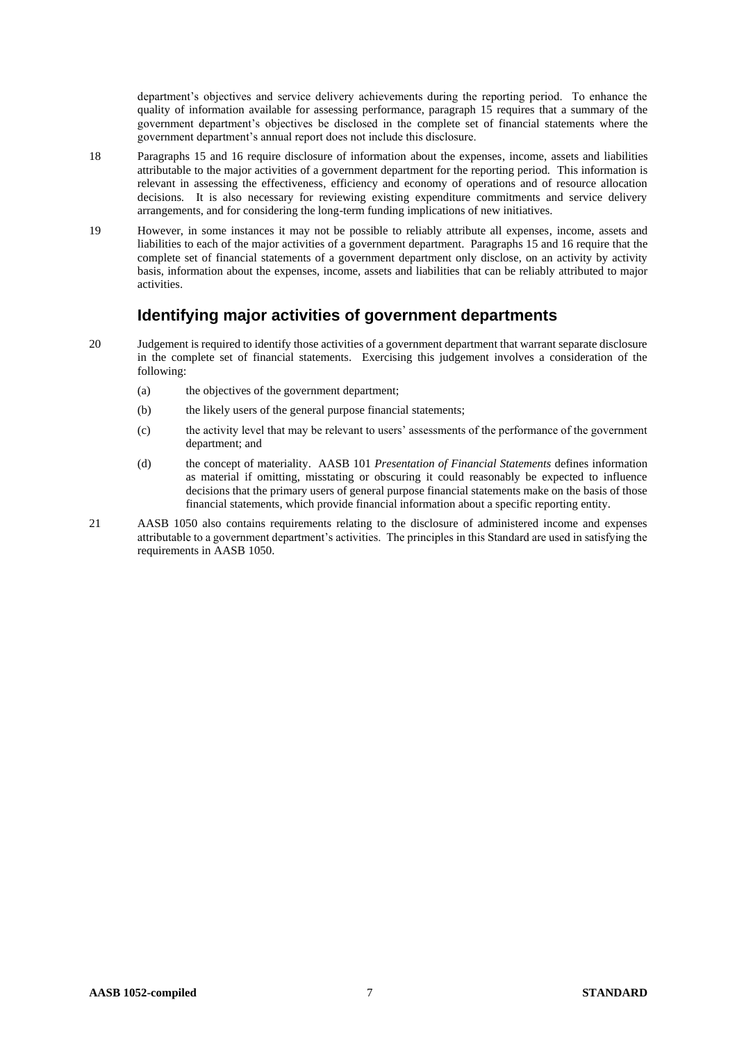department's objectives and service delivery achievements during the reporting period. To enhance the quality of information available for assessing performance, paragraph 15 requires that a summary of the government department's objectives be disclosed in the complete set of financial statements where the government department's annual report does not include this disclosure.

- 18 Paragraphs 15 and 16 require disclosure of information about the expenses, income, assets and liabilities attributable to the major activities of a government department for the reporting period. This information is relevant in assessing the effectiveness, efficiency and economy of operations and of resource allocation decisions. It is also necessary for reviewing existing expenditure commitments and service delivery arrangements, and for considering the long-term funding implications of new initiatives.
- 19 However, in some instances it may not be possible to reliably attribute all expenses, income, assets and liabilities to each of the major activities of a government department. Paragraphs 15 and 16 require that the complete set of financial statements of a government department only disclose, on an activity by activity basis, information about the expenses, income, assets and liabilities that can be reliably attributed to major activities.

### **Identifying major activities of government departments**

- 20 Judgement is required to identify those activities of a government department that warrant separate disclosure in the complete set of financial statements. Exercising this judgement involves a consideration of the following:
	- (a) the objectives of the government department;
	- (b) the likely users of the general purpose financial statements;
	- (c) the activity level that may be relevant to users' assessments of the performance of the government department; and
	- (d) the concept of materiality. AASB 101 *Presentation of Financial Statements* defines information as material if omitting, misstating or obscuring it could reasonably be expected to influence decisions that the primary users of general purpose financial statements make on the basis of those financial statements, which provide financial information about a specific reporting entity.
- 21 AASB 1050 also contains requirements relating to the disclosure of administered income and expenses attributable to a government department's activities. The principles in this Standard are used in satisfying the requirements in AASB 1050.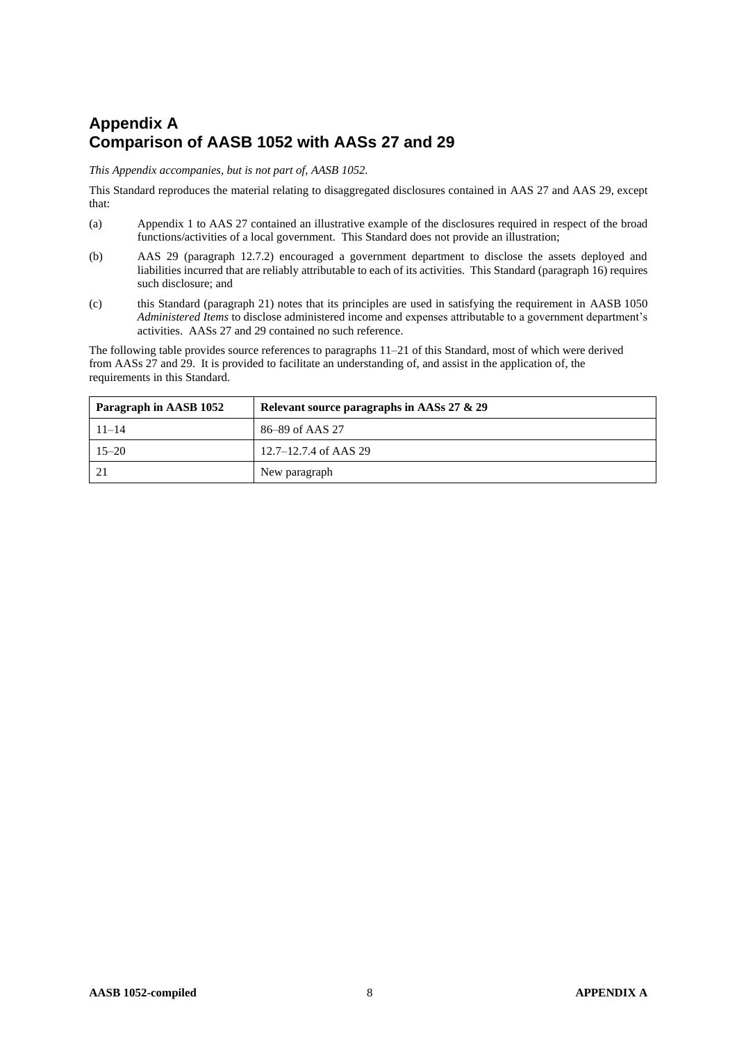# **Appendix A Comparison of AASB 1052 with AASs 27 and 29**

*This Appendix accompanies, but is not part of, AASB 1052.*

This Standard reproduces the material relating to disaggregated disclosures contained in AAS 27 and AAS 29, except that:

- (a) Appendix 1 to AAS 27 contained an illustrative example of the disclosures required in respect of the broad functions/activities of a local government. This Standard does not provide an illustration;
- (b) AAS 29 (paragraph 12.7.2) encouraged a government department to disclose the assets deployed and liabilities incurred that are reliably attributable to each of its activities. This Standard (paragraph 16) requires such disclosure; and
- (c) this Standard (paragraph 21) notes that its principles are used in satisfying the requirement in AASB 1050 *Administered Items* to disclose administered income and expenses attributable to a government department's activities. AASs 27 and 29 contained no such reference.

The following table provides source references to paragraphs 11–21 of this Standard, most of which were derived from AASs 27 and 29. It is provided to facilitate an understanding of, and assist in the application of, the requirements in this Standard.

| Paragraph in AASB 1052 | Relevant source paragraphs in AASs 27 & 29 |  |
|------------------------|--------------------------------------------|--|
| $11 - 14$              | 86–89 of AAS 27                            |  |
| $15 - 20$              | $12.7 - 12.7.4$ of AAS 29                  |  |
| 21                     | New paragraph                              |  |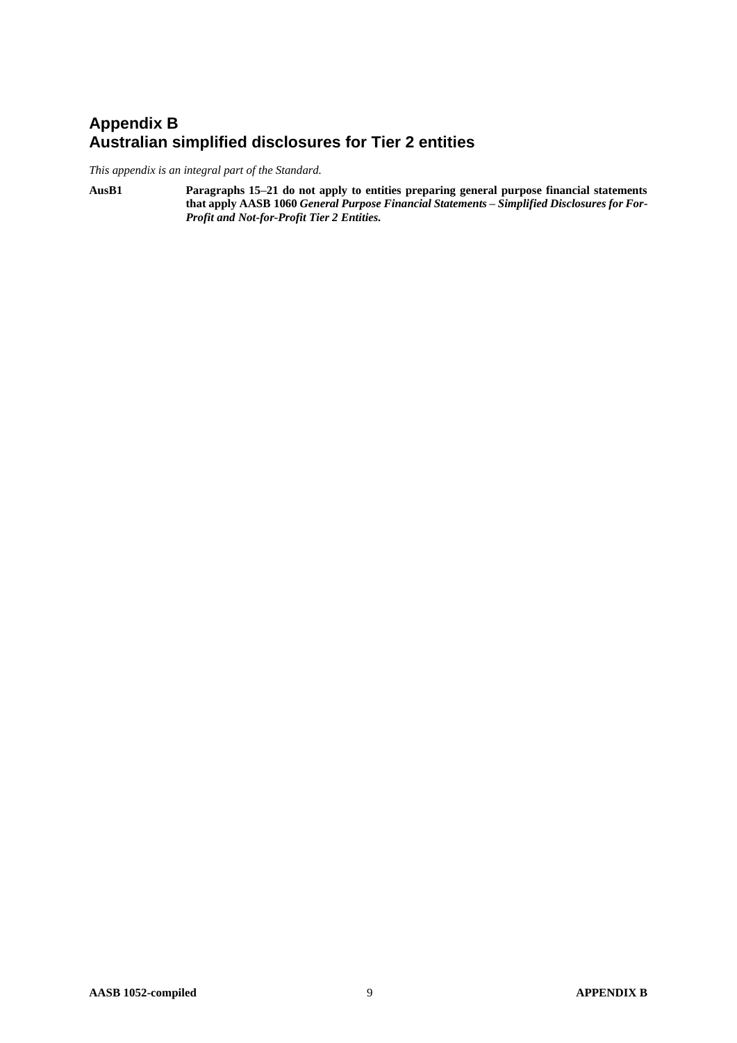# **Appendix B Australian simplified disclosures for Tier 2 entities**

*This appendix is an integral part of the Standard.*

**AusB1 Paragraphs 15–21 do not apply to entities preparing general purpose financial statements that apply AASB 1060** *General Purpose Financial Statements – Simplified Disclosures for For-Profit and Not-for-Profit Tier 2 Entities.*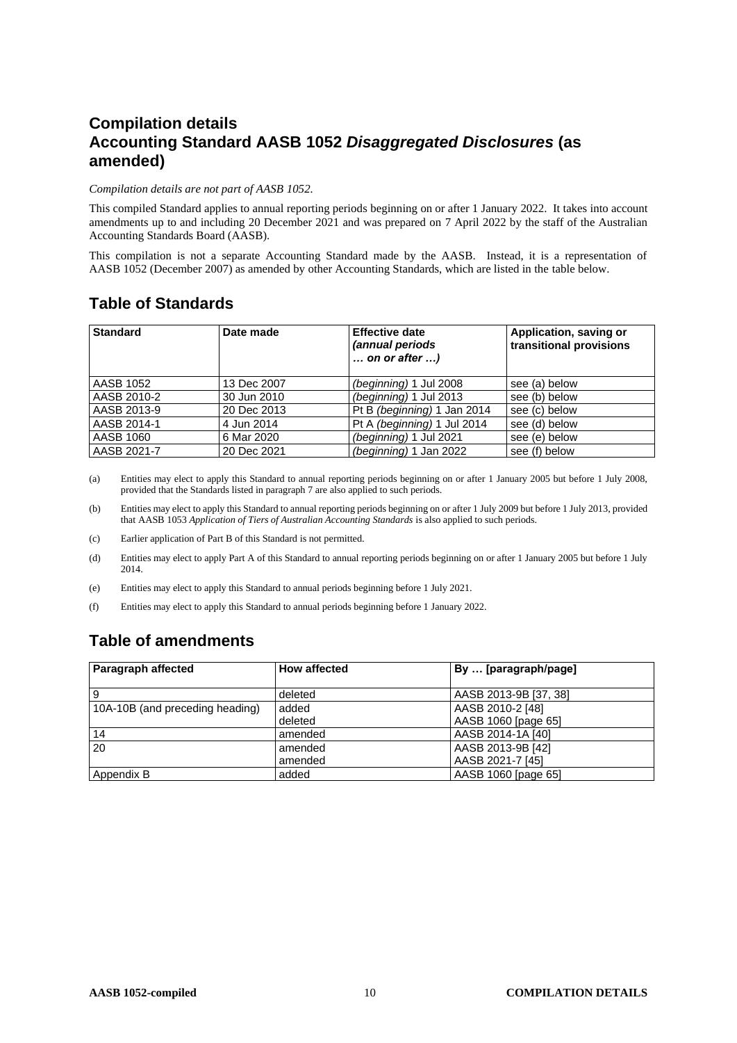# **Compilation details Accounting Standard AASB 1052** *Disaggregated Disclosures* **(as amended)**

#### *Compilation details are not part of AASB 1052.*

This compiled Standard applies to annual reporting periods beginning on or after 1 January 2022. It takes into account amendments up to and including 20 December 2021 and was prepared on 7 April 2022 by the staff of the Australian Accounting Standards Board (AASB).

This compilation is not a separate Accounting Standard made by the AASB. Instead, it is a representation of AASB 1052 (December 2007) as amended by other Accounting Standards, which are listed in the table below.

# **Table of Standards**

| <b>Standard</b> | Date made   | <b>Effective date</b><br>(annual periods<br>$\ldots$ on or after $\ldots$ ) | Application, saving or<br>transitional provisions |
|-----------------|-------------|-----------------------------------------------------------------------------|---------------------------------------------------|
| AASB 1052       | 13 Dec 2007 | (beginning) 1 Jul 2008                                                      | see (a) below                                     |
| AASB 2010-2     | 30 Jun 2010 | (beginning) 1 Jul 2013                                                      | see (b) below                                     |
| AASB 2013-9     | 20 Dec 2013 | Pt B (beginning) 1 Jan 2014                                                 | see (c) below                                     |
| AASB 2014-1     | 4 Jun 2014  | Pt A (beginning) 1 Jul 2014                                                 | see (d) below                                     |
| AASB 1060       | 6 Mar 2020  | (beginning) 1 Jul 2021                                                      | see (e) below                                     |
| AASB 2021-7     | 20 Dec 2021 | (beginning) 1 Jan 2022                                                      | see (f) below                                     |

(a) Entities may elect to apply this Standard to annual reporting periods beginning on or after 1 January 2005 but before 1 July 2008, provided that the Standards listed in paragraph 7 are also applied to such periods.

(b) Entities may elect to apply this Standard to annual reporting periods beginning on or after 1 July 2009 but before 1 July 2013, provided that AASB 1053 *Application of Tiers of Australian Accounting Standards* is also applied to such periods.

(c) Earlier application of Part B of this Standard is not permitted.

(d) Entities may elect to apply Part A of this Standard to annual reporting periods beginning on or after 1 January 2005 but before 1 July 2014.

(e) Entities may elect to apply this Standard to annual periods beginning before 1 July 2021.

(f) Entities may elect to apply this Standard to annual periods beginning before 1 January 2022.

# **Table of amendments**

| Paragraph affected              | <b>How affected</b> | By  [paragraph/page]  |
|---------------------------------|---------------------|-----------------------|
|                                 |                     |                       |
| <b>9</b>                        | deleted             | AASB 2013-9B [37, 38] |
| 10A-10B (and preceding heading) | added               | AASB 2010-2 [48]      |
|                                 | deleted             | AASB 1060 [page 65]   |
| 14                              | amended             | AASB 2014-1A [40]     |
| 20                              | amended             | AASB 2013-9B [42]     |
|                                 | amended             | AASB 2021-7 [45]      |
| Appendix B                      | added               | AASB 1060 [page 65]   |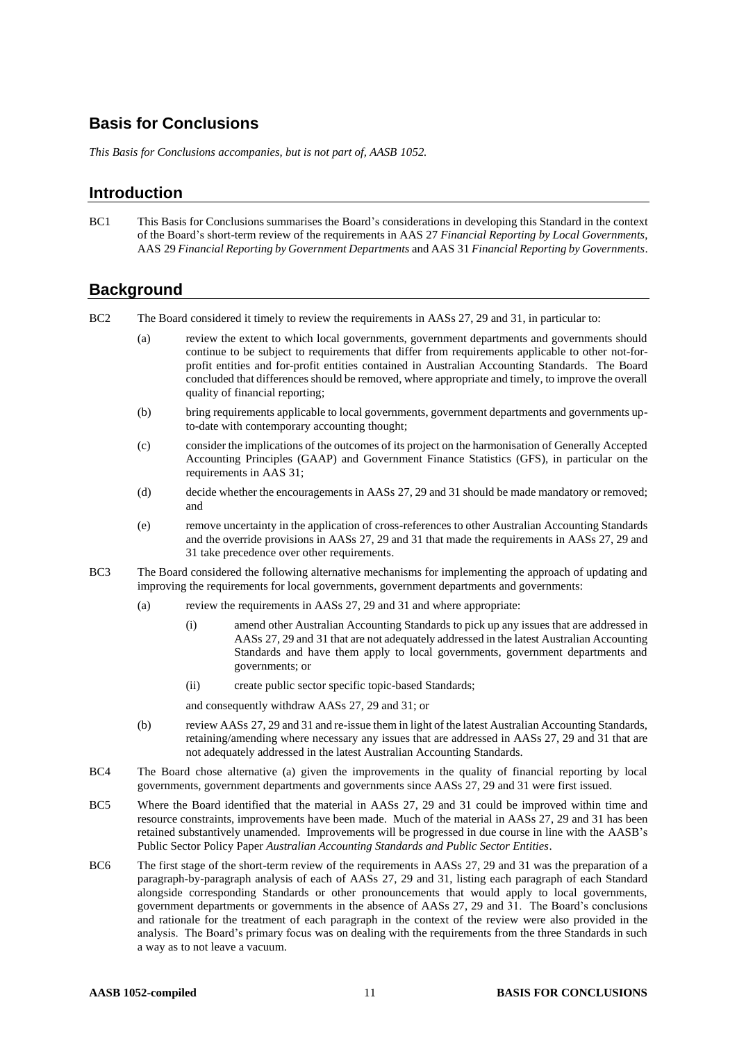### **Basis for Conclusions**

*This Basis for Conclusions accompanies, but is not part of, AASB 1052.*

### **Introduction**

BC1 This Basis for Conclusions summarises the Board's considerations in developing this Standard in the context of the Board's short-term review of the requirements in AAS 27 *Financial Reporting by Local Governments*, AAS 29 *Financial Reporting by Government Departments* and AAS 31 *Financial Reporting by Governments*.

### **Background**

BC2 The Board considered it timely to review the requirements in AASs 27, 29 and 31, in particular to:

- (a) review the extent to which local governments, government departments and governments should continue to be subject to requirements that differ from requirements applicable to other not-forprofit entities and for-profit entities contained in Australian Accounting Standards. The Board concluded that differences should be removed, where appropriate and timely, to improve the overall quality of financial reporting;
- (b) bring requirements applicable to local governments, government departments and governments upto-date with contemporary accounting thought;
- (c) consider the implications of the outcomes of its project on the harmonisation of Generally Accepted Accounting Principles (GAAP) and Government Finance Statistics (GFS), in particular on the requirements in AAS 31;
- (d) decide whether the encouragements in AASs 27, 29 and 31 should be made mandatory or removed; and
- (e) remove uncertainty in the application of cross-references to other Australian Accounting Standards and the override provisions in AASs 27, 29 and 31 that made the requirements in AASs 27, 29 and 31 take precedence over other requirements.
- BC3 The Board considered the following alternative mechanisms for implementing the approach of updating and improving the requirements for local governments, government departments and governments:
	- (a) review the requirements in AASs 27, 29 and 31 and where appropriate:
		- (i) amend other Australian Accounting Standards to pick up any issues that are addressed in AASs 27, 29 and 31 that are not adequately addressed in the latest Australian Accounting Standards and have them apply to local governments, government departments and governments; or
		- (ii) create public sector specific topic-based Standards;

and consequently withdraw AASs 27, 29 and 31; or

- (b) review AASs 27, 29 and 31 and re-issue them in light of the latest Australian Accounting Standards, retaining/amending where necessary any issues that are addressed in AASs 27, 29 and 31 that are not adequately addressed in the latest Australian Accounting Standards.
- BC4 The Board chose alternative (a) given the improvements in the quality of financial reporting by local governments, government departments and governments since AASs 27, 29 and 31 were first issued.
- BC5 Where the Board identified that the material in AASs 27, 29 and 31 could be improved within time and resource constraints, improvements have been made. Much of the material in AASs 27, 29 and 31 has been retained substantively unamended. Improvements will be progressed in due course in line with the AASB's Public Sector Policy Paper *Australian Accounting Standards and Public Sector Entities*.
- BC6 The first stage of the short-term review of the requirements in AASs 27, 29 and 31 was the preparation of a paragraph-by-paragraph analysis of each of AASs 27, 29 and 31, listing each paragraph of each Standard alongside corresponding Standards or other pronouncements that would apply to local governments, government departments or governments in the absence of AASs 27, 29 and 31. The Board's conclusions and rationale for the treatment of each paragraph in the context of the review were also provided in the analysis. The Board's primary focus was on dealing with the requirements from the three Standards in such a way as to not leave a vacuum.